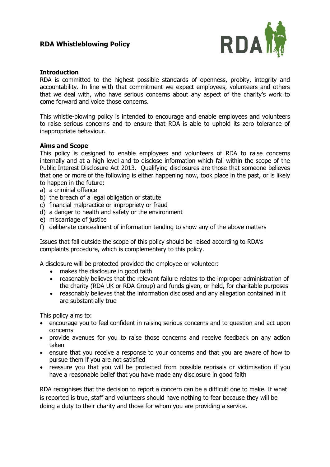

## **Introduction**

RDA is committed to the highest possible standards of openness, probity, integrity and accountability. In line with that commitment we expect employees, volunteers and others that we deal with, who have serious concerns about any aspect of the charity's work to come forward and voice those concerns.

This whistle-blowing policy is intended to encourage and enable employees and volunteers to raise serious concerns and to ensure that RDA is able to uphold its zero tolerance of inappropriate behaviour.

## **Aims and Scope**

This policy is designed to enable employees and volunteers of RDA to raise concerns internally and at a high level and to disclose information which fall within the scope of the Public Interest Disclosure Act 2013. Qualifying disclosures are those that someone believes that one or more of the following is either happening now, took place in the past, or is likely to happen in the future:

- a) a criminal offence
- b) the breach of a legal obligation or statute
- c) financial malpractice or impropriety or fraud
- d) a danger to health and safety or the environment
- e) miscarriage of justice
- f) deliberate concealment of information tending to show any of the above matters

Issues that fall outside the scope of this policy should be raised according to RDA's complaints procedure, which is complementary to this policy.

A disclosure will be protected provided the employee or volunteer:

- makes the disclosure in good faith
- reasonably believes that the relevant failure relates to the improper administration of the charity (RDA UK or RDA Group) and funds given, or held, for charitable purposes
- reasonably believes that the information disclosed and any allegation contained in it are substantially true

This policy aims to:

- encourage you to feel confident in raising serious concerns and to question and act upon concerns
- provide avenues for you to raise those concerns and receive feedback on any action taken
- ensure that you receive a response to your concerns and that you are aware of how to pursue them if you are not satisfied
- reassure you that you will be protected from possible reprisals or victimisation if you have a reasonable belief that you have made any disclosure in good faith

RDA recognises that the decision to report a concern can be a difficult one to make. If what is reported is true, staff and volunteers should have nothing to fear because they will be doing a duty to their charity and those for whom you are providing a service.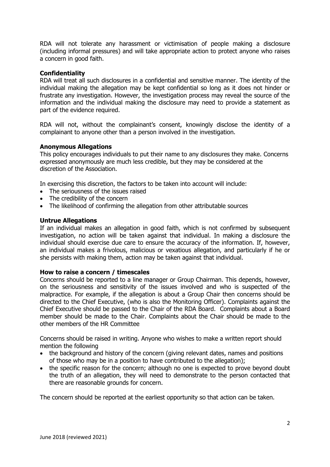RDA will not tolerate any harassment or victimisation of people making a disclosure (including informal pressures) and will take appropriate action to protect anyone who raises a concern in good faith.

# **Confidentiality**

RDA will treat all such disclosures in a confidential and sensitive manner. The identity of the individual making the allegation may be kept confidential so long as it does not hinder or frustrate any investigation. However, the investigation process may reveal the source of the information and the individual making the disclosure may need to provide a statement as part of the evidence required.

RDA will not, without the complainant's consent, knowingly disclose the identity of a complainant to anyone other than a person involved in the investigation.

## **Anonymous Allegations**

This policy encourages individuals to put their name to any disclosures they make. Concerns expressed anonymously are much less credible, but they may be considered at the discretion of the Association.

In exercising this discretion, the factors to be taken into account will include:

- The seriousness of the issues raised
- The credibility of the concern
- The likelihood of confirming the allegation from other attributable sources

#### **Untrue Allegations**

If an individual makes an allegation in good faith, which is not confirmed by subsequent investigation, no action will be taken against that individual. In making a disclosure the individual should exercise due care to ensure the accuracy of the information. If, however, an individual makes a frivolous, malicious or vexatious allegation, and particularly if he or she persists with making them, action may be taken against that individual.

## **How to raise a concern / timescales**

Concerns should be reported to a line manager or Group Chairman. This depends, however, on the seriousness and sensitivity of the issues involved and who is suspected of the malpractice. For example, if the allegation is about a Group Chair then concerns should be directed to the Chief Executive, (who is also the Monitoring Officer). Complaints against the Chief Executive should be passed to the Chair of the RDA Board. Complaints about a Board member should be made to the Chair. Complaints about the Chair should be made to the other members of the HR Committee

Concerns should be raised in writing. Anyone who wishes to make a written report should mention the following

- the background and history of the concern (giving relevant dates, names and positions of those who may be in a position to have contributed to the allegation);
- the specific reason for the concern; although no one is expected to prove beyond doubt the truth of an allegation, they will need to demonstrate to the person contacted that there are reasonable grounds for concern.

The concern should be reported at the earliest opportunity so that action can be taken.